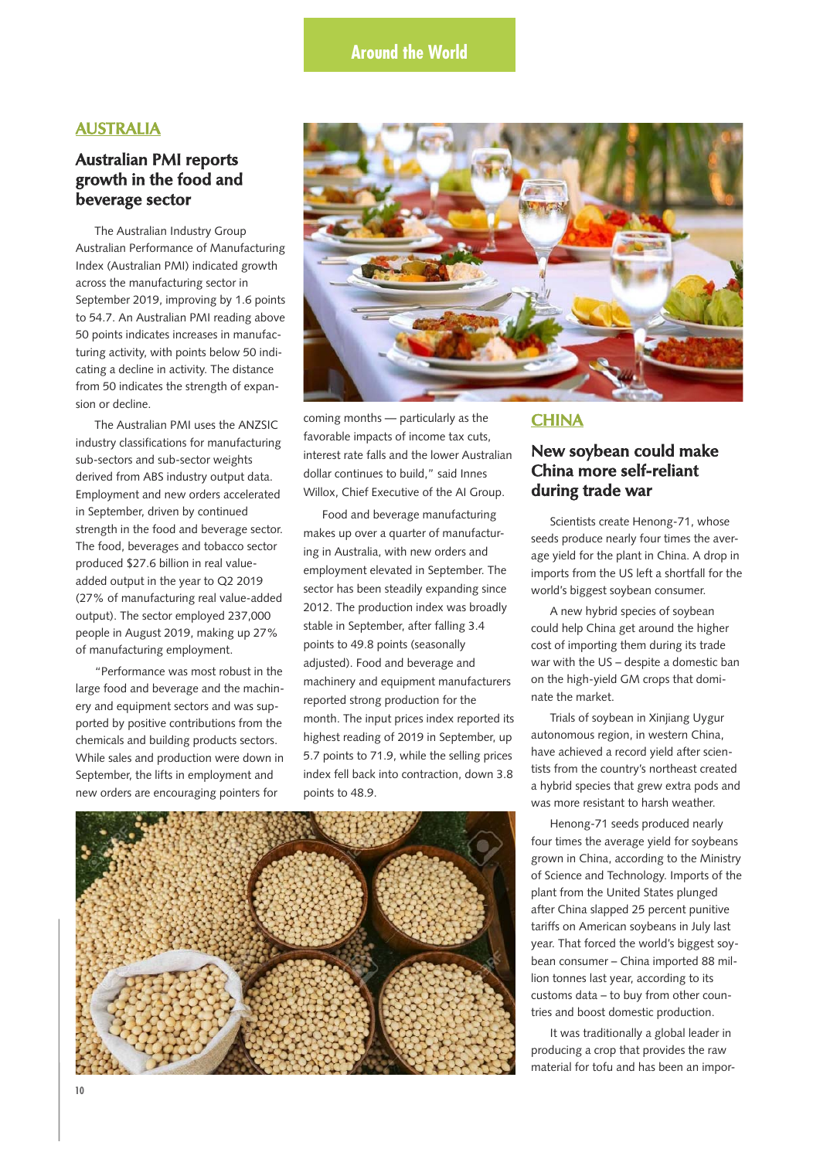### **AUSTRALIA**

## **Australian PMI reports growth in the food and beverage sector**

The Australian Industry Group Australian Performance of Manufacturing Index (Australian PMI) indicated growth across the manufacturing sector in September 2019, improving by 1.6 points to 54.7. An Australian PMI reading above 50 points indicates increases in manufacturing activity, with points below 50 indicating a decline in activity. The distance from 50 indicates the strength of expansion or decline.

The Australian PMI uses the ANZSIC industry classifications for manufacturing sub-sectors and sub-sector weights derived from ABS industry output data. Employment and new orders accelerated in September, driven by continued strength in the food and beverage sector. The food, beverages and tobacco sector produced \$27.6 billion in real valueadded output in the year to Q2 2019 (27% of manufacturing real value-added output). The sector employed 237,000 people in August 2019, making up 27% of manufacturing employment.

"Performance was most robust in the large food and beverage and the machinery and equipment sectors and was supported by positive contributions from the chemicals and building products sectors. While sales and production were down in September, the lifts in employment and new orders are encouraging pointers for



coming months — particularly as the favorable impacts of income tax cuts, interest rate falls and the lower Australian dollar continues to build," said Innes Willox, Chief Executive of the AI Group.

Food and beverage manufacturing makes up over a quarter of manufacturing in Australia, with new orders and employment elevated in September. The sector has been steadily expanding since 2012. The production index was broadly stable in September, after falling 3.4 points to 49.8 points (seasonally adjusted). Food and beverage and machinery and equipment manufacturers reported strong production for the month. The input prices index reported its highest reading of 2019 in September, up 5.7 points to 71.9, while the selling prices index fell back into contraction, down 3.8 points to 48.9.



#### **CHINA**

## **New soybean could make China more self-reliant during trade war**

Scientists create Henong-71, whose seeds produce nearly four times the average yield for the plant in China. A drop in imports from the US left a shortfall for the world's biggest soybean consumer.

A new hybrid species of soybean could help China get around the higher cost of importing them during its trade war with the US – despite a domestic ban on the high-yield GM crops that dominate the market.

Trials of soybean in Xinjiang Uygur autonomous region, in western China, have achieved a record yield after scientists from the country's northeast created a hybrid species that grew extra pods and was more resistant to harsh weather.

Henong-71 seeds produced nearly four times the average yield for soybeans grown in China, according to the Ministry of Science and Technology. Imports of the plant from the United States plunged after China slapped 25 percent punitive tariffs on American soybeans in July last year. That forced the world's biggest soybean consumer – China imported 88 million tonnes last year, according to its customs data – to buy from other countries and boost domestic production.

It was traditionally a global leader in producing a crop that provides the raw material for tofu and has been an impor-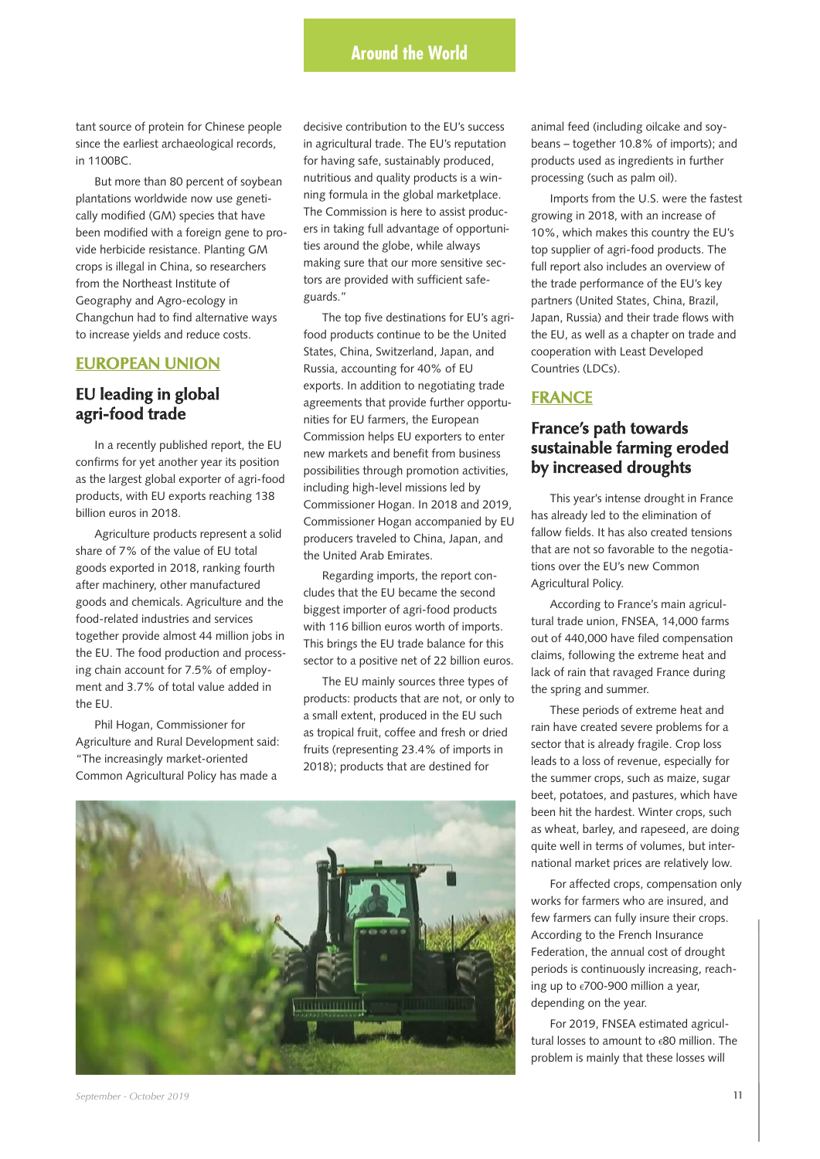# **Around the World**

tant source of protein for Chinese people since the earliest archaeological records, in 1100BC.

But more than 80 percent of soybean plantations worldwide now use genetically modified (GM) species that have been modified with a foreign gene to provide herbicide resistance. Planting GM crops is illegal in China, so researchers from the Northeast Institute of Geography and Agro-ecology in Changchun had to find alternative ways to increase yields and reduce costs.

#### **EUROPEAN UNION**

## **EU leading in global agri-food trade**

In a recently published report, the EU confirms for yet another year its position as the largest global exporter of agri-food products, with EU exports reaching 138 billion euros in 2018.

Agriculture products represent a solid share of 7% of the value of EU total goods exported in 2018, ranking fourth after machinery, other manufactured goods and chemicals. Agriculture and the food-related industries and services together provide almost 44 million jobs in the EU. The food production and processing chain account for 7.5% of employment and 3.7% of total value added in the EU.

Phil Hogan, Commissioner for Agriculture and Rural Development said: "The increasingly market-oriented Common Agricultural Policy has made a

decisive contribution to the EU's success in agricultural trade. The EU's reputation for having safe, sustainably produced, nutritious and quality products is a winning formula in the global marketplace. The Commission is here to assist producers in taking full advantage of opportunities around the globe, while always making sure that our more sensitive sectors are provided with sufficient safeguards."

The top five destinations for EU's agrifood products continue to be the United States, China, Switzerland, Japan, and Russia, accounting for 40% of EU exports. In addition to negotiating trade agreements that provide further opportunities for EU farmers, the European Commission helps EU exporters to enter new markets and benefit from business possibilities through promotion activities, including high-level missions led by Commissioner Hogan. In 2018 and 2019, Commissioner Hogan accompanied by EU producers traveled to China, Japan, and the United Arab Emirates.

Regarding imports, the report concludes that the EU became the second biggest importer of agri-food products with 116 billion euros worth of imports. This brings the EU trade balance for this sector to a positive net of 22 billion euros.

The EU mainly sources three types of products: products that are not, or only to a small extent, produced in the EU such as tropical fruit, coffee and fresh or dried fruits (representing 23.4% of imports in 2018); products that are destined for



animal feed (including oilcake and soybeans – together 10.8% of imports); and products used as ingredients in further processing (such as palm oil).

Imports from the U.S. were the fastest growing in 2018, with an increase of 10%, which makes this country the EU's top supplier of agri-food products. The full report also includes an overview of the trade performance of the EU's key partners (United States, China, Brazil, Japan, Russia) and their trade flows with the EU, as well as a chapter on trade and cooperation with Least Developed Countries (LDCs).

#### **FRANCE**

## **France's path towards sustainable farming eroded by increased droughts**

This year's intense drought in France has already led to the elimination of fallow fields. It has also created tensions that are not so favorable to the negotiations over the EU's new Common Agricultural Policy.

According to France's main agricultural trade union, FNSEA, 14,000 farms out of 440,000 have filed compensation claims, following the extreme heat and lack of rain that ravaged France during the spring and summer.

These periods of extreme heat and rain have created severe problems for a sector that is already fragile. Crop loss leads to a loss of revenue, especially for the summer crops, such as maize, sugar beet, potatoes, and pastures, which have been hit the hardest. Winter crops, such as wheat, barley, and rapeseed, are doing quite well in terms of volumes, but international market prices are relatively low.

For affected crops, compensation only works for farmers who are insured, and few farmers can fully insure their crops. According to the French Insurance Federation, the annual cost of drought periods is continuously increasing, reaching up to  $\epsilon$ 700-900 million a year, depending on the year.

For 2019, FNSEA estimated agricultural losses to amount to  $\epsilon$ 80 million. The problem is mainly that these losses will

*September - October 2019* **11**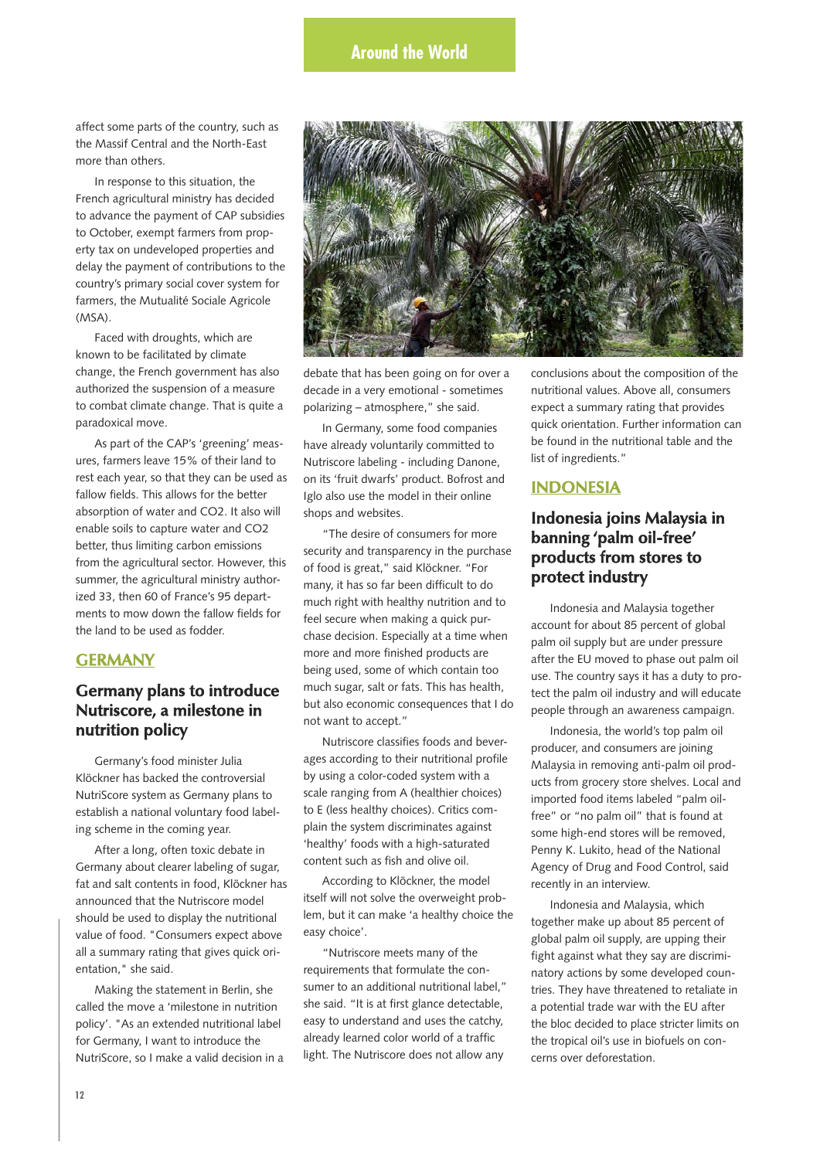affect some parts of the country, such as the Massif Central and the North-East more than others.

In response to this situation, the French agricultural ministry has decided to advance the payment of CAP subsidies to October, exempt farmers from property tax on undeveloped properties and delay the payment of contributions to the country's primary social cover system for farmers, the Mutualité Sociale Agricole (MSA).

Faced with droughts, which are known to be facilitated by climate change, the French government has also authorized the suspension of a measure to combat climate change. That is quite a paradoxical move.

As part of the CAP's 'greening' measures, farmers leave 15% of their land to rest each year, so that they can be used as fallow fields. This allows for the better absorption of water and CO2. It also will enable soils to capture water and CO2 better, thus limiting carbon emissions from the agricultural sector. However, this summer, the agricultural ministry authorized 33, then 60 of France's 95 departments to mow down the fallow fields for the land to be used as fodder.

#### **GERMANY**

## **Germany plans to introduce Nutriscore, a milestone in nutrition policy**

Germany's food minister Julia Klöckner has backed the controversial NutriScore system as Germany plans to establish a national voluntary food labeling scheme in the coming year.

After a long, often toxic debate in Germany about clearer labeling of sugar, fat and salt contents in food, Klöckner has announced that the Nutriscore model should be used to display the nutritional value of food. "Consumers expect above all a summary rating that gives quick orientation," she said.

Making the statement in Berlin, she called the move a 'milestone in nutrition policy'. "As an extended nutritional label for Germany, I want to introduce the NutriScore, so I make a valid decision in a



debate that has been going on for over a decade in a very emotional - sometimes polarizing – atmosphere," she said.

In Germany, some food companies have already voluntarily committed to Nutriscore labeling - including Danone, on its 'fruit dwarfs' product. Bofrost and Iglo also use the model in their online shops and websites.

"The desire of consumers for more security and transparency in the purchase of food is great," said Klöckner. "For many, it has so far been difficult to do much right with healthy nutrition and to feel secure when making a quick purchase decision. Especially at a time when more and more finished products are being used, some of which contain too much sugar, salt or fats. This has health, but also economic consequences that I do not want to accept."

Nutriscore classifies foods and beverages according to their nutritional profile by using a color-coded system with a scale ranging from A (healthier choices) to E (less healthy choices). Critics complain the system discriminates against 'healthy' foods with a high-saturated content such as fish and olive oil.

According to Klöckner, the model itself will not solve the overweight problem, but it can make 'a healthy choice the easy choice'.

"Nutriscore meets many of the requirements that formulate the consumer to an additional nutritional label," she said. "It is at first glance detectable, easy to understand and uses the catchy, already learned color world of a traffic light. The Nutriscore does not allow any

conclusions about the composition of the nutritional values. Above all, consumers expect a summary rating that provides quick orientation. Further information can be found in the nutritional table and the list of ingredients."

#### **INDONESIA**

## **Indonesia joins Malaysia in banning 'palm oil-free' products from stores to protect industry**

Indonesia and Malaysia together account for about 85 percent of global palm oil supply but are under pressure after the EU moved to phase out palm oil use. The country says it has a duty to protect the palm oil industry and will educate people through an awareness campaign.

Indonesia, the world's top palm oil producer, and consumers are joining Malaysia in removing anti-palm oil products from grocery store shelves. Local and imported food items labeled "palm oilfree" or "no palm oil" that is found at some high-end stores will be removed, Penny K. Lukito, head of the National Agency of Drug and Food Control, said recently in an interview.

Indonesia and Malaysia, which together make up about 85 percent of global palm oil supply, are upping their fight against what they say are discriminatory actions by some developed countries. They have threatened to retaliate in a potential trade war with the EU after the bloc decided to place stricter limits on the tropical oil's use in biofuels on concerns over deforestation.